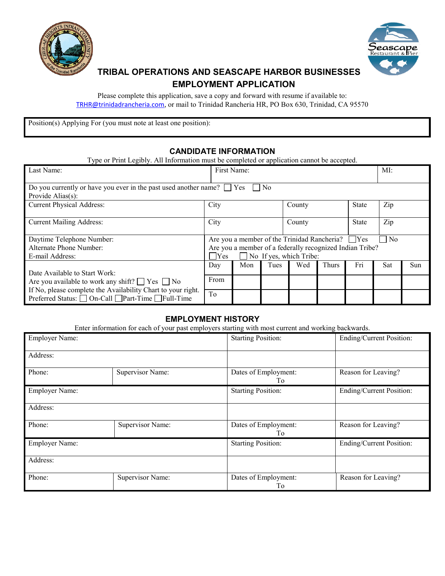



# **TRIBAL OPERATIONS AND SEASCAPE HARBOR BUSINESSES EMPLOYMENT APPLICATION**

Please complete this application, save a copy and forward with resume if available to: [TRHR@trinidadrancheria.com](mailto:TRHR@trinidadrancheria.com), or mail to Trinidad Rancheria HR, PO Box 630, Trinidad, CA 95570

Position(s) Applying For (you must note at least one position):

## **CANDIDATE INFORMATION**

| Type or Print Legibly. All Information must be completed or application cannot be accepted.                        |                      |      |     |                  |              |              |            |
|--------------------------------------------------------------------------------------------------------------------|----------------------|------|-----|------------------|--------------|--------------|------------|
| First Name:                                                                                                        |                      |      | MI: |                  |              |              |            |
| Do you currently or have you ever in the past used another name? $\Box$ Yes<br>N <sub>o</sub><br>Provide Alias(s): |                      |      |     |                  |              |              |            |
|                                                                                                                    |                      |      |     |                  |              |              |            |
|                                                                                                                    |                      |      |     |                  | <b>State</b> |              |            |
|                                                                                                                    |                      |      |     |                  |              |              |            |
|                                                                                                                    |                      |      |     |                  |              |              |            |
|                                                                                                                    |                      |      |     |                  |              |              |            |
| Are you a member of the Trinidad Rancheria?<br>Yes<br>$\overline{N_{0}}$                                           |                      |      |     |                  |              |              |            |
| Are you a member of a federally recognized Indian Tribe?                                                           |                      |      |     |                  |              |              |            |
| $\Box$ No If yes, which Tribe:<br>$\Box$ Yes                                                                       |                      |      |     |                  |              |              |            |
| Day                                                                                                                | Mon                  | Tues | Wed | <b>Thurs</b>     | Fri          | Sat          | <b>Sun</b> |
|                                                                                                                    |                      |      |     |                  |              |              |            |
|                                                                                                                    |                      |      |     |                  |              |              |            |
| To                                                                                                                 |                      |      |     |                  |              |              |            |
|                                                                                                                    | City<br>City<br>From |      |     | County<br>County |              | <b>State</b> | Zip<br>Zip |

## **EMPLOYMENT HISTORY**

Enter information for each of your past employers starting with most current and working backwards.

| <b>Employer Name:</b> |                         | <b>Starting Position:</b>  | Ending/Current Position: |
|-----------------------|-------------------------|----------------------------|--------------------------|
| Address:              |                         |                            |                          |
| Phone:                | Supervisor Name:        | Dates of Employment:<br>To | Reason for Leaving?      |
| <b>Employer Name:</b> |                         | <b>Starting Position:</b>  | Ending/Current Position: |
| Address:              |                         |                            |                          |
| Phone:                | Supervisor Name:        | Dates of Employment:<br>Tо | Reason for Leaving?      |
| <b>Employer Name:</b> |                         | <b>Starting Position:</b>  | Ending/Current Position: |
| Address:              |                         |                            |                          |
| Phone:                | <b>Supervisor Name:</b> | Dates of Employment:<br>Тo | Reason for Leaving?      |